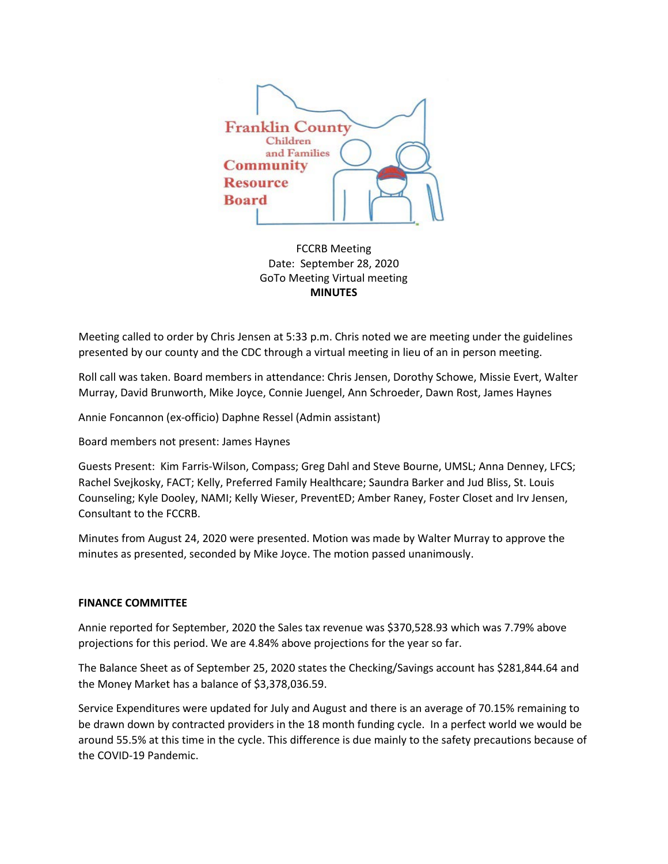

FCCRB Meeting Date: September 28, 2020 GoTo Meeting Virtual meeting **MINUTES**

Meeting called to order by Chris Jensen at 5:33 p.m. Chris noted we are meeting under the guidelines presented by our county and the CDC through a virtual meeting in lieu of an in person meeting.

Roll call was taken. Board members in attendance: Chris Jensen, Dorothy Schowe, Missie Evert, Walter Murray, David Brunworth, Mike Joyce, Connie Juengel, Ann Schroeder, Dawn Rost, James Haynes

Annie Foncannon (ex-officio) Daphne Ressel (Admin assistant)

Board members not present: James Haynes

Guests Present: Kim Farris-Wilson, Compass; Greg Dahl and Steve Bourne, UMSL; Anna Denney, LFCS; Rachel Svejkosky, FACT; Kelly, Preferred Family Healthcare; Saundra Barker and Jud Bliss, St. Louis Counseling; Kyle Dooley, NAMI; Kelly Wieser, PreventED; Amber Raney, Foster Closet and Irv Jensen, Consultant to the FCCRB.

Minutes from August 24, 2020 were presented. Motion was made by Walter Murray to approve the minutes as presented, seconded by Mike Joyce. The motion passed unanimously.

### **FINANCE COMMITTEE**

Annie reported for September, 2020 the Sales tax revenue was \$370,528.93 which was 7.79% above projections for this period. We are 4.84% above projections for the year so far.

The Balance Sheet as of September 25, 2020 states the Checking/Savings account has \$281,844.64 and the Money Market has a balance of \$3,378,036.59.

Service Expenditures were updated for July and August and there is an average of 70.15% remaining to be drawn down by contracted providers in the 18 month funding cycle. In a perfect world we would be around 55.5% at this time in the cycle. This difference is due mainly to the safety precautions because of the COVID-19 Pandemic.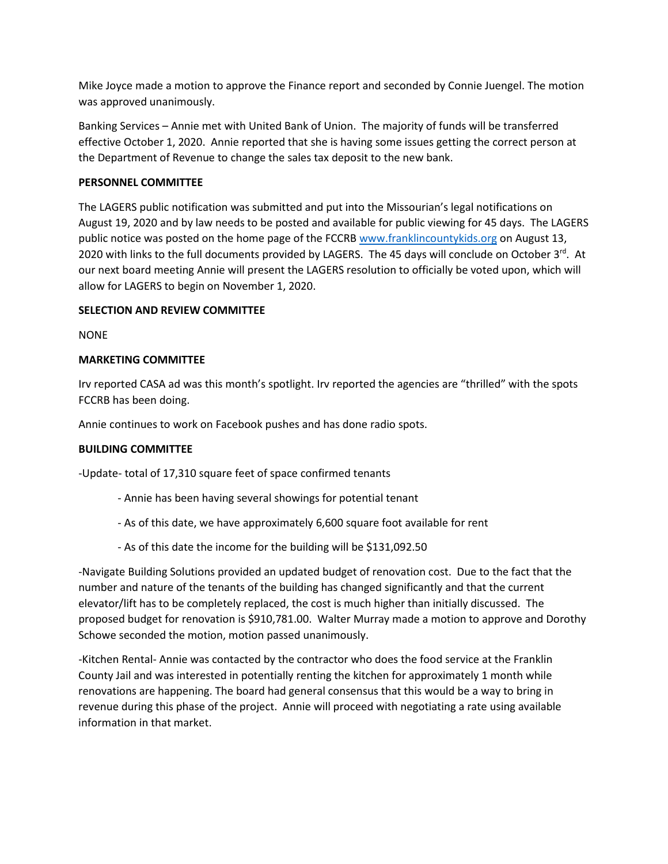Mike Joyce made a motion to approve the Finance report and seconded by Connie Juengel. The motion was approved unanimously.

Banking Services – Annie met with United Bank of Union. The majority of funds will be transferred effective October 1, 2020. Annie reported that she is having some issues getting the correct person at the Department of Revenue to change the sales tax deposit to the new bank.

## **PERSONNEL COMMITTEE**

The LAGERS public notification was submitted and put into the Missourian's legal notifications on August 19, 2020 and by law needs to be posted and available for public viewing for 45 days. The LAGERS public notice was posted on the home page of the FCCRB [www.franklincountykids.org](http://www.franklincountykids.org/) on August 13, 2020 with links to the full documents provided by LAGERS. The 45 days will conclude on October  $3^{rd}$ . At our next board meeting Annie will present the LAGERS resolution to officially be voted upon, which will allow for LAGERS to begin on November 1, 2020.

# **SELECTION AND REVIEW COMMITTEE**

NONE

# **MARKETING COMMITTEE**

Irv reported CASA ad was this month's spotlight. Irv reported the agencies are "thrilled" with the spots FCCRB has been doing.

Annie continues to work on Facebook pushes and has done radio spots.

# **BUILDING COMMITTEE**

-Update- total of 17,310 square feet of space confirmed tenants

- Annie has been having several showings for potential tenant
- As of this date, we have approximately 6,600 square foot available for rent
- As of this date the income for the building will be \$131,092.50

-Navigate Building Solutions provided an updated budget of renovation cost. Due to the fact that the number and nature of the tenants of the building has changed significantly and that the current elevator/lift has to be completely replaced, the cost is much higher than initially discussed. The proposed budget for renovation is \$910,781.00. Walter Murray made a motion to approve and Dorothy Schowe seconded the motion, motion passed unanimously.

-Kitchen Rental- Annie was contacted by the contractor who does the food service at the Franklin County Jail and was interested in potentially renting the kitchen for approximately 1 month while renovations are happening. The board had general consensus that this would be a way to bring in revenue during this phase of the project. Annie will proceed with negotiating a rate using available information in that market.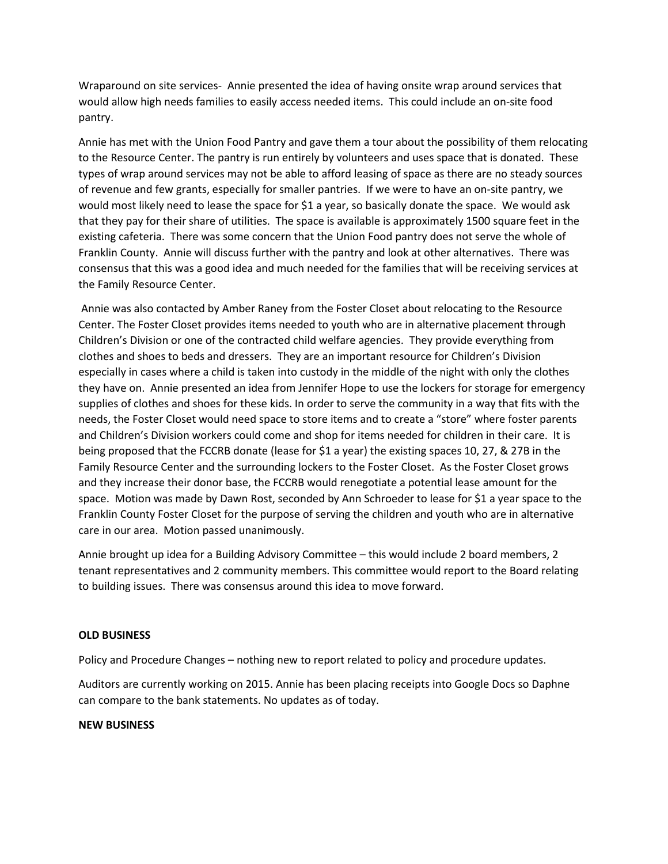Wraparound on site services- Annie presented the idea of having onsite wrap around services that would allow high needs families to easily access needed items. This could include an on-site food pantry.

Annie has met with the Union Food Pantry and gave them a tour about the possibility of them relocating to the Resource Center. The pantry is run entirely by volunteers and uses space that is donated. These types of wrap around services may not be able to afford leasing of space as there are no steady sources of revenue and few grants, especially for smaller pantries. If we were to have an on-site pantry, we would most likely need to lease the space for \$1 a year, so basically donate the space. We would ask that they pay for their share of utilities. The space is available is approximately 1500 square feet in the existing cafeteria. There was some concern that the Union Food pantry does not serve the whole of Franklin County. Annie will discuss further with the pantry and look at other alternatives. There was consensus that this was a good idea and much needed for the families that will be receiving services at the Family Resource Center.

Annie was also contacted by Amber Raney from the Foster Closet about relocating to the Resource Center. The Foster Closet provides items needed to youth who are in alternative placement through Children's Division or one of the contracted child welfare agencies. They provide everything from clothes and shoes to beds and dressers. They are an important resource for Children's Division especially in cases where a child is taken into custody in the middle of the night with only the clothes they have on. Annie presented an idea from Jennifer Hope to use the lockers for storage for emergency supplies of clothes and shoes for these kids. In order to serve the community in a way that fits with the needs, the Foster Closet would need space to store items and to create a "store" where foster parents and Children's Division workers could come and shop for items needed for children in their care. It is being proposed that the FCCRB donate (lease for \$1 a year) the existing spaces 10, 27, & 27B in the Family Resource Center and the surrounding lockers to the Foster Closet. As the Foster Closet grows and they increase their donor base, the FCCRB would renegotiate a potential lease amount for the space. Motion was made by Dawn Rost, seconded by Ann Schroeder to lease for \$1 a year space to the Franklin County Foster Closet for the purpose of serving the children and youth who are in alternative care in our area. Motion passed unanimously.

Annie brought up idea for a Building Advisory Committee – this would include 2 board members, 2 tenant representatives and 2 community members. This committee would report to the Board relating to building issues. There was consensus around this idea to move forward.

### **OLD BUSINESS**

Policy and Procedure Changes – nothing new to report related to policy and procedure updates.

Auditors are currently working on 2015. Annie has been placing receipts into Google Docs so Daphne can compare to the bank statements. No updates as of today.

### **NEW BUSINESS**